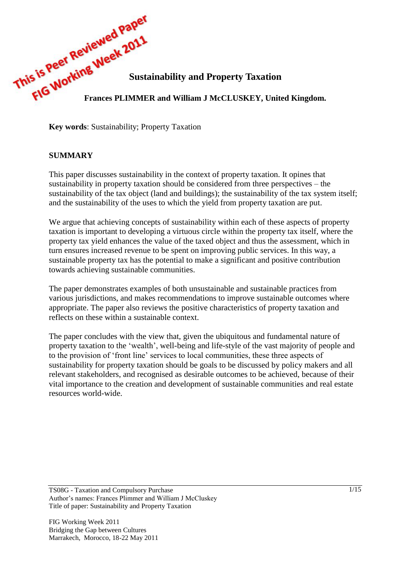

**Key words**: Sustainability; Property Taxation

## **SUMMARY**

This paper discusses sustainability in the context of property taxation. It opines that sustainability in property taxation should be considered from three perspectives – the sustainability of the tax object (land and buildings); the sustainability of the tax system itself; and the sustainability of the uses to which the yield from property taxation are put.

We argue that achieving concepts of sustainability within each of these aspects of property taxation is important to developing a virtuous circle within the property tax itself, where the property tax yield enhances the value of the taxed object and thus the assessment, which in turn ensures increased revenue to be spent on improving public services. In this way, a sustainable property tax has the potential to make a significant and positive contribution towards achieving sustainable communities.

The paper demonstrates examples of both unsustainable and sustainable practices from various jurisdictions, and makes recommendations to improve sustainable outcomes where appropriate. The paper also reviews the positive characteristics of property taxation and reflects on these within a sustainable context.

The paper concludes with the view that, given the ubiquitous and fundamental nature of property taxation to the 'wealth', well-being and life-style of the vast majority of people and to the provision of 'front line' services to local communities, these three aspects of sustainability for property taxation should be goals to be discussed by policy makers and all relevant stakeholders, and recognised as desirable outcomes to be achieved, because of their vital importance to the creation and development of sustainable communities and real estate resources world-wide.

TS08G - Taxation and Compulsory Purchase Author's names: Frances Plimmer and William J McCluskey Title of paper: Sustainability and Property Taxation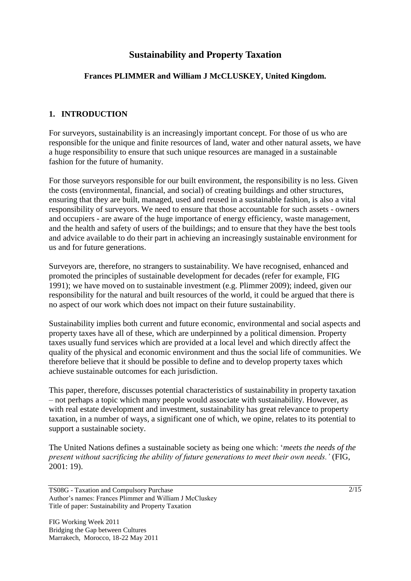# **Sustainability and Property Taxation**

## **Frances PLIMMER and William J McCLUSKEY, United Kingdom.**

## **1. INTRODUCTION**

For surveyors, sustainability is an increasingly important concept. For those of us who are responsible for the unique and finite resources of land, water and other natural assets, we have a huge responsibility to ensure that such unique resources are managed in a sustainable fashion for the future of humanity.

For those surveyors responsible for our built environment, the responsibility is no less. Given the costs (environmental, financial, and social) of creating buildings and other structures, ensuring that they are built, managed, used and reused in a sustainable fashion, is also a vital responsibility of surveyors. We need to ensure that those accountable for such assets - owners and occupiers - are aware of the huge importance of energy efficiency, waste management, and the health and safety of users of the buildings; and to ensure that they have the best tools and advice available to do their part in achieving an increasingly sustainable environment for us and for future generations.

Surveyors are, therefore, no strangers to sustainability. We have recognised, enhanced and promoted the principles of sustainable development for decades (refer for example, FIG 1991); we have moved on to sustainable investment (e.g. Plimmer 2009); indeed, given our responsibility for the natural and built resources of the world, it could be argued that there is no aspect of our work which does not impact on their future sustainability.

Sustainability implies both current and future economic, environmental and social aspects and property taxes have all of these, which are underpinned by a political dimension. Property taxes usually fund services which are provided at a local level and which directly affect the quality of the physical and economic environment and thus the social life of communities. We therefore believe that it should be possible to define and to develop property taxes which achieve sustainable outcomes for each jurisdiction.

This paper, therefore, discusses potential characteristics of sustainability in property taxation – not perhaps a topic which many people would associate with sustainability. However, as with real estate development and investment, sustainability has great relevance to property taxation, in a number of ways, a significant one of which, we opine, relates to its potential to support a sustainable society.

The United Nations defines a sustainable society as being one which: '*meets the needs of the present without sacrificing the ability of future generations to meet their own needs.'* (FIG, 2001: 19).

TS08G - Taxation and Compulsory Purchase Author's names: Frances Plimmer and William J McCluskey Title of paper: Sustainability and Property Taxation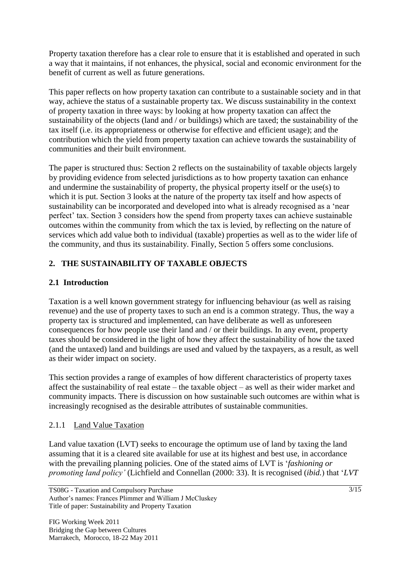Property taxation therefore has a clear role to ensure that it is established and operated in such a way that it maintains, if not enhances, the physical, social and economic environment for the benefit of current as well as future generations.

This paper reflects on how property taxation can contribute to a sustainable society and in that way, achieve the status of a sustainable property tax. We discuss sustainability in the context of property taxation in three ways: by looking at how property taxation can affect the sustainability of the objects (land and / or buildings) which are taxed; the sustainability of the tax itself (i.e. its appropriateness or otherwise for effective and efficient usage); and the contribution which the yield from property taxation can achieve towards the sustainability of communities and their built environment.

The paper is structured thus: Section 2 reflects on the sustainability of taxable objects largely by providing evidence from selected jurisdictions as to how property taxation can enhance and undermine the sustainability of property, the physical property itself or the use(s) to which it is put. Section 3 looks at the nature of the property tax itself and how aspects of sustainability can be incorporated and developed into what is already recognised as a 'near perfect' tax. Section 3 considers how the spend from property taxes can achieve sustainable outcomes within the community from which the tax is levied, by reflecting on the nature of services which add value both to individual (taxable) properties as well as to the wider life of the community, and thus its sustainability. Finally, Section 5 offers some conclusions.

# **2. THE SUSTAINABILITY OF TAXABLE OBJECTS**

# **2.1 Introduction**

Taxation is a well known government strategy for influencing behaviour (as well as raising revenue) and the use of property taxes to such an end is a common strategy. Thus, the way a property tax is structured and implemented, can have deliberate as well as unforeseen consequences for how people use their land and / or their buildings. In any event, property taxes should be considered in the light of how they affect the sustainability of how the taxed (and the untaxed) land and buildings are used and valued by the taxpayers, as a result, as well as their wider impact on society.

This section provides a range of examples of how different characteristics of property taxes affect the sustainability of real estate – the taxable object – as well as their wider market and community impacts. There is discussion on how sustainable such outcomes are within what is increasingly recognised as the desirable attributes of sustainable communities.

# 2.1.1 Land Value Taxation

Land value taxation (LVT) seeks to encourage the optimum use of land by taxing the land assuming that it is a cleared site available for use at its highest and best use, in accordance with the prevailing planning policies. One of the stated aims of LVT is '*fashioning or promoting land policy'* (Lichfield and Connellan (2000: 33). It is recognised (*ibid.*) that '*LVT* 

TS08G - Taxation and Compulsory Purchase Author's names: Frances Plimmer and William J McCluskey Title of paper: Sustainability and Property Taxation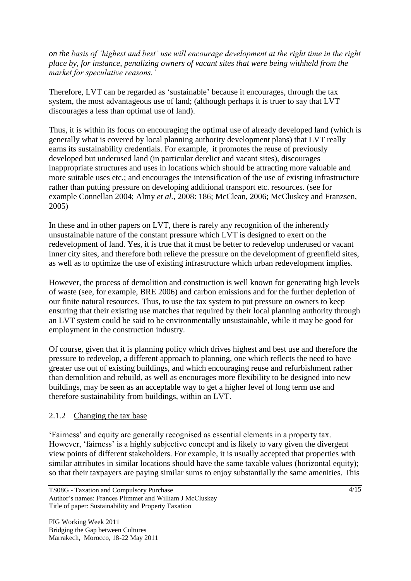*on the basis of 'highest and best' use will encourage development at the right time in the right place by, for instance, penalizing owners of vacant sites that were being withheld from the market for speculative reasons.'*

Therefore, LVT can be regarded as 'sustainable' because it encourages, through the tax system, the most advantageous use of land; (although perhaps it is truer to say that LVT discourages a less than optimal use of land).

Thus, it is within its focus on encouraging the optimal use of already developed land (which is generally what is covered by local planning authority development plans) that LVT really earns its sustainability credentials. For example, it promotes the reuse of previously developed but underused land (in particular derelict and vacant sites), discourages inappropriate structures and uses in locations which should be attracting more valuable and more suitable uses etc.; and encourages the intensification of the use of existing infrastructure rather than putting pressure on developing additional transport etc. resources. (see for example Connellan 2004; Almy *et al.*, 2008: 186; McClean, 2006; McCluskey and Franzsen, 2005)

In these and in other papers on LVT, there is rarely any recognition of the inherently unsustainable nature of the constant pressure which LVT is designed to exert on the redevelopment of land. Yes, it is true that it must be better to redevelop underused or vacant inner city sites, and therefore both relieve the pressure on the development of greenfield sites, as well as to optimize the use of existing infrastructure which urban redevelopment implies.

However, the process of demolition and construction is well known for generating high levels of waste (see, for example, BRE 2006) and carbon emissions and for the further depletion of our finite natural resources. Thus, to use the tax system to put pressure on owners to keep ensuring that their existing use matches that required by their local planning authority through an LVT system could be said to be environmentally unsustainable, while it may be good for employment in the construction industry.

Of course, given that it is planning policy which drives highest and best use and therefore the pressure to redevelop, a different approach to planning, one which reflects the need to have greater use out of existing buildings, and which encouraging reuse and refurbishment rather than demolition and rebuild, as well as encourages more flexibility to be designed into new buildings, may be seen as an acceptable way to get a higher level of long term use and therefore sustainability from buildings, within an LVT.

## 2.1.2 Changing the tax base

'Fairness' and equity are generally recognised as essential elements in a property tax. However, 'fairness' is a highly subjective concept and is likely to vary given the divergent view points of different stakeholders. For example, it is usually accepted that properties with similar attributes in similar locations should have the same taxable values (horizontal equity); so that their taxpayers are paying similar sums to enjoy substantially the same amenities. This

TS08G - Taxation and Compulsory Purchase Author's names: Frances Plimmer and William J McCluskey Title of paper: Sustainability and Property Taxation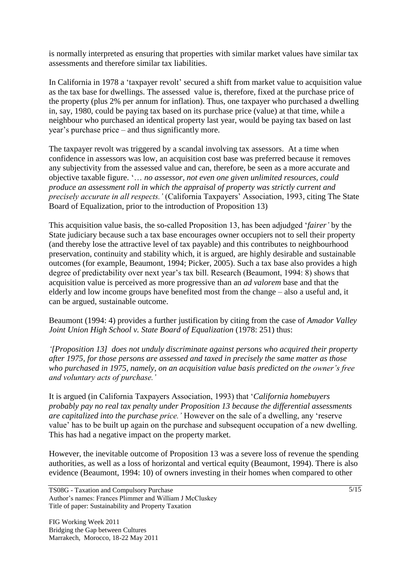is normally interpreted as ensuring that properties with similar market values have similar tax assessments and therefore similar tax liabilities.

In California in 1978 a 'taxpayer revolt' secured a shift from market value to acquisition value as the tax base for dwellings. The assessed value is, therefore, fixed at the purchase price of the property (plus 2% per annum for inflation). Thus, one taxpayer who purchased a dwelling in, say, 1980, could be paying tax based on its purchase price (value) at that time, while a neighbour who purchased an identical property last year, would be paying tax based on last year's purchase price – and thus significantly more.

The taxpayer revolt was triggered by a scandal involving tax assessors. At a time when confidence in assessors was low, an acquisition cost base was preferred because it removes any subjectivity from the assessed value and can, therefore, be seen as a more accurate and objective taxable figure. '… *no assessor, not even one given unlimited resources, could produce an assessment roll in which the appraisal of property was strictly current and precisely accurate in all respects.'* (California Taxpayers' Association, 1993*,* citing The State Board of Equalization, prior to the introduction of Proposition 13)

This acquisition value basis, the so-called Proposition 13, has been adjudged '*fairer'* by the State judiciary because such a tax base encourages owner occupiers not to sell their property (and thereby lose the attractive level of tax payable) and this contributes to neighbourhood preservation, continuity and stability which, it is argued, are highly desirable and sustainable outcomes (for example, Beaumont, 1994; Picker, 2005). Such a tax base also provides a high degree of predictability over next year's tax bill. Research (Beaumont, 1994: 8) shows that acquisition value is perceived as more progressive than an *ad valorem* base and that the elderly and low income groups have benefited most from the change – also a useful and, it can be argued, sustainable outcome.

Beaumont (1994: 4) provides a further justification by citing from the case of *Amador Valley Joint Union High School v. State Board of Equalization (1978: 251) thus:* 

*'[Proposition 13] does not unduly discriminate against persons who acquired their property after 1975, for those persons are assessed and taxed in precisely the same matter as those who purchased in 1975, namely, on an acquisition value basis predicted on the owner's free and voluntary acts of purchase.'*

It is argued (in California Taxpayers Association, 1993) that '*California homebuyers probably pay no real tax penalty under Proposition 13 because the differential assessments are capitalized into the purchase price.'* However on the sale of a dwelling, any 'reserve value' has to be built up again on the purchase and subsequent occupation of a new dwelling. This has had a negative impact on the property market.

However, the inevitable outcome of Proposition 13 was a severe loss of revenue the spending authorities, as well as a loss of horizontal and vertical equity (Beaumont, 1994). There is also evidence (Beaumont, 1994: 10) of owners investing in their homes when compared to other

TS08G - Taxation and Compulsory Purchase Author's names: Frances Plimmer and William J McCluskey Title of paper: Sustainability and Property Taxation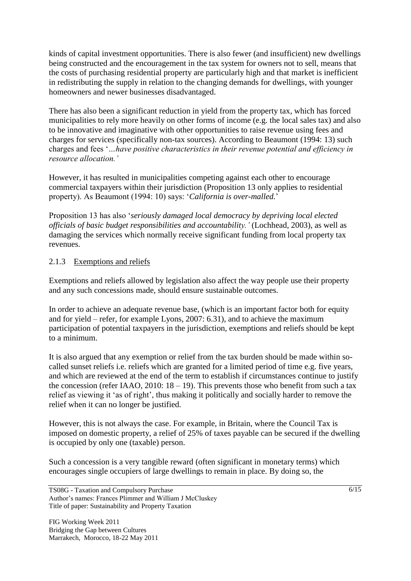kinds of capital investment opportunities. There is also fewer (and insufficient) new dwellings being constructed and the encouragement in the tax system for owners not to sell, means that the costs of purchasing residential property are particularly high and that market is inefficient in redistributing the supply in relation to the changing demands for dwellings, with younger homeowners and newer businesses disadvantaged.

There has also been a significant reduction in yield from the property tax, which has forced municipalities to rely more heavily on other forms of income (e.g. the local sales tax) and also to be innovative and imaginative with other opportunities to raise revenue using fees and charges for services (specifically non-tax sources). According to Beaumont (1994: 13) such charges and fees '*…have positive characteristics in their revenue potential and efficiency in resource allocation.'* 

However, it has resulted in municipalities competing against each other to encourage commercial taxpayers within their jurisdiction (Proposition 13 only applies to residential property). As Beaumont (1994: 10) says: '*California is over-malled.*'

Proposition 13 has also '*seriously damaged local democracy by depriving local elected officials of basic budget responsibilities and accountability.'* (Lochhead, 2003), as well as damaging the services which normally receive significant funding from local property tax revenues.

## 2.1.3 Exemptions and reliefs

Exemptions and reliefs allowed by legislation also affect the way people use their property and any such concessions made, should ensure sustainable outcomes.

In order to achieve an adequate revenue base, (which is an important factor both for equity and for yield – refer, for example Lyons, 2007: 6.31), and to achieve the maximum participation of potential taxpayers in the jurisdiction, exemptions and reliefs should be kept to a minimum.

It is also argued that any exemption or relief from the tax burden should be made within socalled sunset reliefs i.e. reliefs which are granted for a limited period of time e.g. five years, and which are reviewed at the end of the term to establish if circumstances continue to justify the concession (refer IAAO, 2010:  $18 - 19$ ). This prevents those who benefit from such a tax relief as viewing it 'as of right', thus making it politically and socially harder to remove the relief when it can no longer be justified.

However, this is not always the case. For example, in Britain, where the Council Tax is imposed on domestic property, a relief of 25% of taxes payable can be secured if the dwelling is occupied by only one (taxable) person.

Such a concession is a very tangible reward (often significant in monetary terms) which encourages single occupiers of large dwellings to remain in place. By doing so, the

TS08G - Taxation and Compulsory Purchase Author's names: Frances Plimmer and William J McCluskey Title of paper: Sustainability and Property Taxation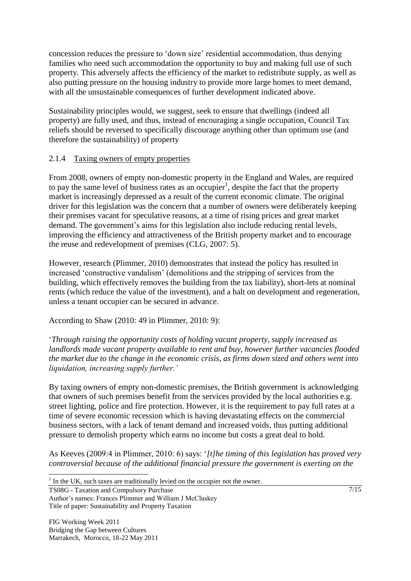concession reduces the pressure to 'down size' residential accommodation, thus denying families who need such accommodation the opportunity to buy and making full use of such property. This adversely affects the efficiency of the market to redistribute supply, as well as also putting pressure on the housing industry to provide more large homes to meet demand, with all the unsustainable consequences of further development indicated above.

Sustainability principles would, we suggest, seek to ensure that dwellings (indeed all property) are fully used, and thus, instead of encouraging a single occupation, Council Tax reliefs should be reversed to specifically discourage anything other than optimum use (and therefore the sustainability) of property

## 2.1.4 Taxing owners of empty properties

From 2008, owners of empty non-domestic property in the England and Wales, are required to pay the same level of business rates as an occupier<sup>1</sup>, despite the fact that the property market is increasingly depressed as a result of the current economic climate. The original driver for this legislation was the concern that a number of owners were deliberately keeping their premises vacant for speculative reasons, at a time of rising prices and great market demand. The government's aims for this legislation also include reducing rental levels, improving the efficiency and attractiveness of the British property market and to encourage the reuse and redevelopment of premises (CLG, 2007: 5).

However, research (Plimmer, 2010) demonstrates that instead the policy has resulted in increased 'constructive vandalism' (demolitions and the stripping of services from the building, which effectively removes the building from the tax liability), short-lets at nominal rents (which reduce the value of the investment), and a halt on development and regeneration, unless a tenant occupier can be secured in advance.

According to Shaw (2010: 49 in Plimmer, 2010: 9):

'*Through raising the opportunity costs of holding vacant property, supply increased as landlords made vacant property available to rent and buy, however further vacancies flooded the market due to the change in the economic crisis, as firms down sized and others went into liquidation, increasing supply further.'*

By taxing owners of empty non-domestic premises, the British government is acknowledging that owners of such premises benefit from the services provided by the local authorities e.g. street lighting, police and fire protection. However, it is the requirement to pay full rates at a time of severe economic recession which is having devastating effects on the commercial business sectors, with a lack of tenant demand and increased voids, thus putting additional pressure to demolish property which earns no income but costs a great deal to hold.

As Keeves (2009:4 in Plimmer, 2010: 6) says: '*[t]he timing of this legislation has proved very controversial because of the additional financial pressure the government is exerting on the* 

 $1$  In the UK, such taxes are traditionally levied on the occupier not the owner.

TS08G - Taxation and Compulsory Purchase Author's names: Frances Plimmer and William J McCluskey Title of paper: Sustainability and Property Taxation

 $\overline{a}$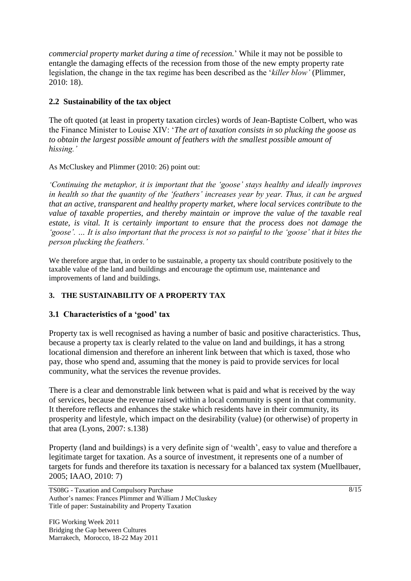*commercial property market during a time of recession.*' While it may not be possible to entangle the damaging effects of the recession from those of the new empty property rate legislation, the change in the tax regime has been described as the '*killer blow'* (Plimmer, 2010: 18).

## **2.2 Sustainability of the tax object**

The oft quoted (at least in property taxation circles) words of Jean-Baptiste Colbert, who was the Finance Minister to Louise XIV: '*The art of taxation consists in so plucking the goose as to obtain the largest possible amount of feathers with the smallest possible amount of hissing.'*

As McCluskey and Plimmer (2010: 26) point out:

*'Continuing the metaphor, it is important that the 'goose' stays healthy and ideally improves in health so that the quantity of the 'feathers' increases year by year. Thus, it can be argued that an active, transparent and healthy property market, where local services contribute to the value of taxable properties, and thereby maintain or improve the value of the taxable real estate, is vital. It is certainly important to ensure that the process does not damage the 'goose'. … It is also important that the process is not so painful to the 'goose' that it bites the person plucking the feathers.'*

We therefore argue that, in order to be sustainable, a property tax should contribute positively to the taxable value of the land and buildings and encourage the optimum use, maintenance and improvements of land and buildings.

# **3. THE SUSTAINABILITY OF A PROPERTY TAX**

## **3.1 Characteristics of a 'good' tax**

Property tax is well recognised as having a number of basic and positive characteristics. Thus, because a property tax is clearly related to the value on land and buildings, it has a strong locational dimension and therefore an inherent link between that which is taxed, those who pay, those who spend and, assuming that the money is paid to provide services for local community, what the services the revenue provides.

There is a clear and demonstrable link between what is paid and what is received by the way of services, because the revenue raised within a local community is spent in that community. It therefore reflects and enhances the stake which residents have in their community, its prosperity and lifestyle, which impact on the desirability (value) (or otherwise) of property in that area (Lyons, 2007: s.138)

Property (land and buildings) is a very definite sign of 'wealth', easy to value and therefore a legitimate target for taxation. As a source of investment, it represents one of a number of targets for funds and therefore its taxation is necessary for a balanced tax system (Muellbauer, 2005; IAAO, 2010: 7)

TS08G - Taxation and Compulsory Purchase Author's names: Frances Plimmer and William J McCluskey Title of paper: Sustainability and Property Taxation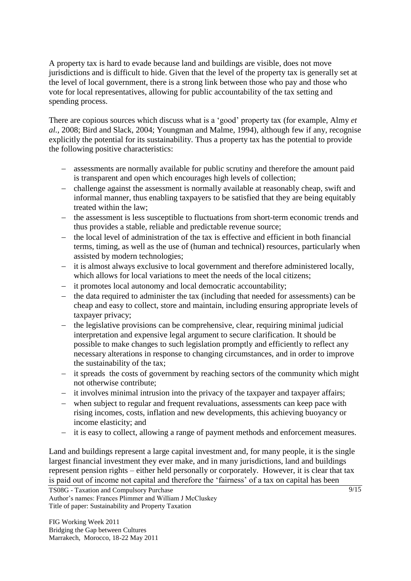A property tax is hard to evade because land and buildings are visible, does not move jurisdictions and is difficult to hide. Given that the level of the property tax is generally set at the level of local government, there is a strong link between those who pay and those who vote for local representatives, allowing for public accountability of the tax setting and spending process.

There are copious sources which discuss what is a 'good' property tax (for example, Almy *et al.,* 2008; Bird and Slack, 2004; Youngman and Malme, 1994), although few if any, recognise explicitly the potential for its sustainability. Thus a property tax has the potential to provide the following positive characteristics:

- assessments are normally available for public scrutiny and therefore the amount paid is transparent and open which encourages high levels of collection;
- challenge against the assessment is normally available at reasonably cheap, swift and informal manner, thus enabling taxpayers to be satisfied that they are being equitably treated within the law;
- the assessment is less susceptible to fluctuations from short-term economic trends and thus provides a stable, reliable and predictable revenue source;
- the local level of administration of the tax is effective and efficient in both financial terms, timing, as well as the use of (human and technical) resources, particularly when assisted by modern technologies;
- it is almost always exclusive to local government and therefore administered locally, which allows for local variations to meet the needs of the local citizens;
- it promotes local autonomy and local democratic accountability;
- the data required to administer the tax (including that needed for assessments) can be cheap and easy to collect, store and maintain, including ensuring appropriate levels of taxpayer privacy;
- $\hbox{–}$  the legislative provisions can be comprehensive, clear, requiring minimal judicial interpretation and expensive legal argument to secure clarification. It should be possible to make changes to such legislation promptly and efficiently to reflect any necessary alterations in response to changing circumstances, and in order to improve the sustainability of the tax;
- it spreads the costs of government by reaching sectors of the community which might not otherwise contribute;
- it involves minimal intrusion into the privacy of the taxpayer and taxpayer affairs;
- when subject to regular and frequent revaluations, assessments can keep pace with rising incomes, costs, inflation and new developments, this achieving buoyancy or income elasticity; and
- it is easy to collect, allowing a range of payment methods and enforcement measures.

Land and buildings represent a large capital investment and, for many people, it is the single largest financial investment they ever make, and in many jurisdictions, land and buildings represent pension rights – either held personally or corporately. However, it is clear that tax is paid out of income not capital and therefore the 'fairness' of a tax on capital has been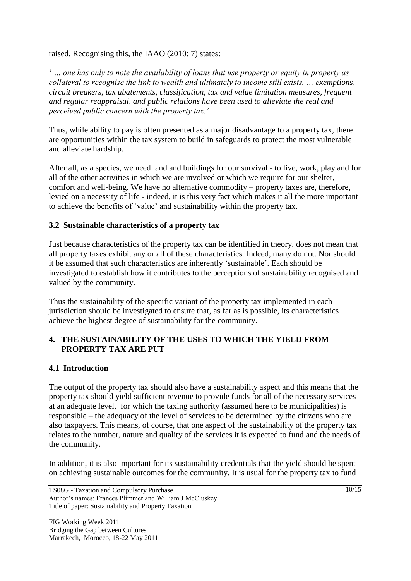raised. Recognising this, the IAAO (2010: 7) states:

' *… one has only to note the availability of loans that use property or equity in property as collateral to recognise the link to wealth and ultimately to income still exists. … exemptions, circuit breakers, tax abatements, classification, tax and value limitation measures, frequent and regular reappraisal, and public relations have been used to alleviate the real and perceived public concern with the property tax.'*

Thus, while ability to pay is often presented as a major disadvantage to a property tax, there are opportunities within the tax system to build in safeguards to protect the most vulnerable and alleviate hardship.

After all, as a species, we need land and buildings for our survival - to live, work, play and for all of the other activities in which we are involved or which we require for our shelter, comfort and well-being. We have no alternative commodity – property taxes are, therefore, levied on a necessity of life - indeed, it is this very fact which makes it all the more important to achieve the benefits of 'value' and sustainability within the property tax.

## **3.2 Sustainable characteristics of a property tax**

Just because characteristics of the property tax can be identified in theory, does not mean that all property taxes exhibit any or all of these characteristics. Indeed, many do not. Nor should it be assumed that such characteristics are inherently 'sustainable'. Each should be investigated to establish how it contributes to the perceptions of sustainability recognised and valued by the community.

Thus the sustainability of the specific variant of the property tax implemented in each jurisdiction should be investigated to ensure that, as far as is possible, its characteristics achieve the highest degree of sustainability for the community.

## **4. THE SUSTAINABILITY OF THE USES TO WHICH THE YIELD FROM PROPERTY TAX ARE PUT**

## **4.1 Introduction**

The output of the property tax should also have a sustainability aspect and this means that the property tax should yield sufficient revenue to provide funds for all of the necessary services at an adequate level, for which the taxing authority (assumed here to be municipalities) is responsible – the adequacy of the level of services to be determined by the citizens who are also taxpayers. This means, of course, that one aspect of the sustainability of the property tax relates to the number, nature and quality of the services it is expected to fund and the needs of the community.

In addition, it is also important for its sustainability credentials that the yield should be spent on achieving sustainable outcomes for the community. It is usual for the property tax to fund

TS08G - Taxation and Compulsory Purchase Author's names: Frances Plimmer and William J McCluskey Title of paper: Sustainability and Property Taxation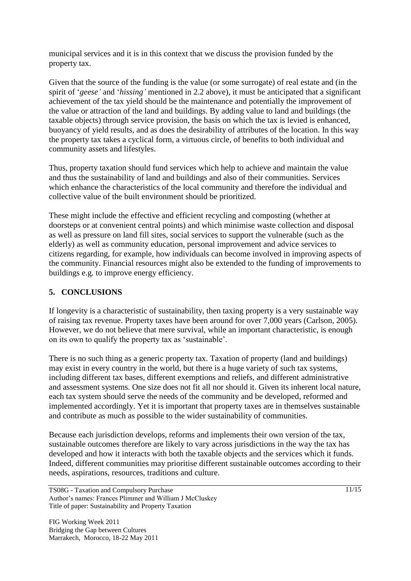municipal services and it is in this context that we discuss the provision funded by the property tax.

Given that the source of the funding is the value (or some surrogate) of real estate and (in the spirit of '*geese'* and '*hissing'* mentioned in 2.2 above), it must be anticipated that a significant achievement of the tax yield should be the maintenance and potentially the improvement of the value or attraction of the land and buildings. By adding value to land and buildings (the taxable objects) through service provision, the basis on which the tax is levied is enhanced, buoyancy of yield results, and as does the desirability of attributes of the location. In this way the property tax takes a cyclical form, a virtuous circle, of benefits to both individual and community assets and lifestyles.

Thus, property taxation should fund services which help to achieve and maintain the value and thus the sustainability of land and buildings and also of their communities. Services which enhance the characteristics of the local community and therefore the individual and collective value of the built environment should be prioritized.

These might include the effective and efficient recycling and composting (whether at doorsteps or at convenient central points) and which minimise waste collection and disposal as well as pressure on land fill sites, social services to support the vulnerable (such as the elderly) as well as community education, personal improvement and advice services to citizens regarding, for example, how individuals can become involved in improving aspects of the community. Financial resources might also be extended to the funding of improvements to buildings e.g. to improve energy efficiency.

# **5. CONCLUSIONS**

If longevity is a characteristic of sustainability, then taxing property is a very sustainable way of raising tax revenue. Property taxes have been around for over 7,000 years (Carlson, 2005). However, we do not believe that mere survival, while an important characteristic, is enough on its own to qualify the property tax as 'sustainable'.

There is no such thing as a generic property tax. Taxation of property (land and buildings) may exist in every country in the world, but there is a huge variety of such tax systems, including different tax bases, different exemptions and reliefs, and different administrative and assessment systems. One size does not fit all nor should it. Given its inherent local nature, each tax system should serve the needs of the community and be developed, reformed and implemented accordingly. Yet it is important that property taxes are in themselves sustainable and contribute as much as possible to the wider sustainability of communities.

Because each jurisdiction develops, reforms and implements their own version of the tax, sustainable outcomes therefore are likely to vary across jurisdictions in the way the tax has developed and how it interacts with both the taxable objects and the services which it funds. Indeed, different communities may prioritise different sustainable outcomes according to their needs, aspirations, resources, traditions and culture.

TS08G - Taxation and Compulsory Purchase Author's names: Frances Plimmer and William J McCluskey Title of paper: Sustainability and Property Taxation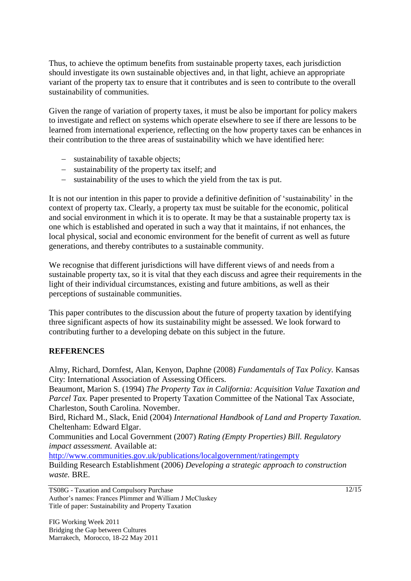Thus, to achieve the optimum benefits from sustainable property taxes, each jurisdiction should investigate its own sustainable objectives and, in that light, achieve an appropriate variant of the property tax to ensure that it contributes and is seen to contribute to the overall sustainability of communities.

Given the range of variation of property taxes, it must be also be important for policy makers to investigate and reflect on systems which operate elsewhere to see if there are lessons to be learned from international experience, reflecting on the how property taxes can be enhances in their contribution to the three areas of sustainability which we have identified here:

- sustainability of taxable objects;
- sustainability of the property tax itself; and
- $\overline{\phantom{a}}$  sustainability of the uses to which the yield from the tax is put.

It is not our intention in this paper to provide a definitive definition of 'sustainability' in the context of property tax. Clearly, a property tax must be suitable for the economic, political and social environment in which it is to operate. It may be that a sustainable property tax is one which is established and operated in such a way that it maintains, if not enhances, the local physical, social and economic environment for the benefit of current as well as future generations, and thereby contributes to a sustainable community.

We recognise that different jurisdictions will have different views of and needs from a sustainable property tax, so it is vital that they each discuss and agree their requirements in the light of their individual circumstances, existing and future ambitions, as well as their perceptions of sustainable communities.

This paper contributes to the discussion about the future of property taxation by identifying three significant aspects of how its sustainability might be assessed. We look forward to contributing further to a developing debate on this subject in the future.

# **REFERENCES**

Almy, Richard, Dornfest, Alan, Kenyon, Daphne (2008) *Fundamentals of Tax Policy.* Kansas City: International Association of Assessing Officers.

Beaumont, Marion S. (1994) *The Property Tax in California: Acquisition Value Taxation and Parcel Tax.* Paper presented to Property Taxation Committee of the National Tax Associate, Charleston, South Carolina. November.

Bird, Richard M., Slack, Enid (2004) *International Handbook of Land and Property Taxation.*  Cheltenham: Edward Elgar.

Communities and Local Government (2007) *Rating (Empty Properties) Bill. Regulatory impact assessment.* Available at:

<http://www.communities.gov.uk/publications/localgovernment/ratingempty>

Building Research Establishment (2006) *Developing a strategic approach to construction waste.* BRE.

TS08G - Taxation and Compulsory Purchase Author's names: Frances Plimmer and William J McCluskey Title of paper: Sustainability and Property Taxation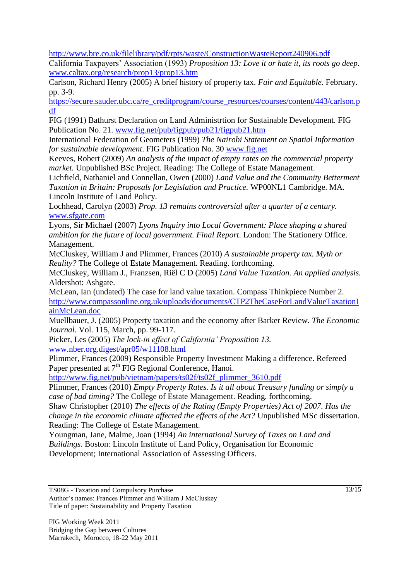<http://www.bre.co.uk/filelibrary/pdf/rpts/waste/ConstructionWasteReport240906.pdf>

California Taxpayers' Association (1993) *Proposition 13: Love it or hate it, its roots go deep.*  [www.caltax.org/research/prop13/prop13.htm](http://www.caltax.org/research/prop13/prop13.htm)

Carlson, Richard Henry (2005) A brief history of property tax. *Fair and Equitable.* February. pp. 3-9.

[https://secure.sauder.ubc.ca/re\\_creditprogram/course\\_resources/courses/content/443/carlson.p](https://secure.sauder.ubc.ca/re_creditprogram/course_resources/courses/content/443/carlson.pdf) [df](https://secure.sauder.ubc.ca/re_creditprogram/course_resources/courses/content/443/carlson.pdf)

FIG (1991) Bathurst Declaration on Land Administrtion for Sustainable Development. FIG Publication No. 21. [www.fig.net/pub/figpub/pub21/figpub21.htm](http://www.fig.net/pub/figpub/pub21/figpub21.htm)

International Federation of Geometers (1999) *The Nairobi Statement on Spatial Information for sustainable development*. FIG Publication No. 30 [www.fig.net](http://www.fig.net/)

Keeves, Robert (2009) *An analysis of the impact of empty rates on the commercial property market.* Unpublished BSc Project. Reading: The College of Estate Management.

Lichfield, Nathaniel and Connellan, Owen (2000) *Land Value and the Community Betterment Taxation in Britain: Proposals for Legislation and Practice.* WP00NL1 Cambridge. MA. Lincoln Institute of Land Policy.

Lochhead, Carolyn (2003) *Prop. 13 remains controversial after a quarter of a century.*  [www.sfgate.com](http://www.sfgate.com/)

Lyons, Sir Michael (2007) *Lyons Inquiry into Local Government: Place shaping a shared ambition for the future of local government. Final Report*. London: The Stationery Office. Management.

McCluskey, William J and Plimmer, Frances (2010) *A sustainable property tax. Myth or Reality?* The College of Estate Management. Reading. forthcoming.

McCluskey, William J., Franzsen, Riël C D (2005) *Land Value Taxation. An applied analysis.*  Aldershot: Ashgate.

McLean, Ian (undated) The case for land value taxation. Compass Thinkpiece Number 2. [http://www.compassonline.org.uk/uploads/documents/CTP2TheCaseForLandValueTaxationI](http://www.compassonline.org.uk/uploads/documents/CTP2TheCaseForLandValueTaxationIainMcLean.doc) [ainMcLean.doc](http://www.compassonline.org.uk/uploads/documents/CTP2TheCaseForLandValueTaxationIainMcLean.doc)

Muellbauer, J. (2005) Property taxation and the economy after Barker Review. *The Economic Journal.* Vol. 115, March, pp. 99-117.

Picker, Les (2005) *The lock-in effect of California' Proposition 13.*  [www.nber.org.digest/apr05/w11108.html](http://www.nber.org.digest/apr05/w11108.html)

Plimmer, Frances (2009) Responsible Property Investment Making a difference. Refereed Paper presented at  $7<sup>th</sup>$  FIG Regional Conference, Hanoi.

[http://www.fig.net/pub/vietnam/papers/ts02f/ts02f\\_plimmer\\_3610.pdf](http://www.fig.net/pub/vietnam/papers/ts02f/ts02f_plimmer_3610.pdf)

Plimmer, Frances (2010) *Empty Property Rates. Is it all about Treasury funding or simply a case of bad timing?* The College of Estate Management. Reading. forthcoming.

Shaw Christopher (2010) *The effects of the Rating (Empty Properties) Act of 2007. Has the change in the economic climate affected the effects of the Act?* Unpublished MSc dissertation. Reading: The College of Estate Management.

Youngman, Jane, Malme, Joan (1994) *An international Survey of Taxes on Land and Buildings.* Boston: Lincoln Institute of Land Policy, Organisation for Economic Development; International Association of Assessing Officers.

TS08G - Taxation and Compulsory Purchase Author's names: Frances Plimmer and William J McCluskey Title of paper: Sustainability and Property Taxation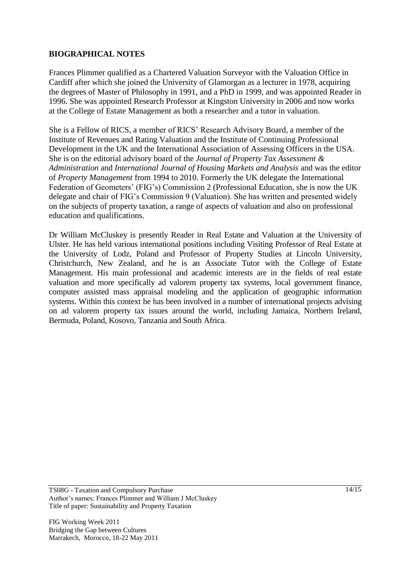## **BIOGRAPHICAL NOTES**

Frances Plimmer qualified as a Chartered Valuation Surveyor with the Valuation Office in Cardiff after which she joined the University of Glamorgan as a lecturer in 1978, acquiring the degrees of Master of Philosophy in 1991, and a PhD in 1999, and was appointed Reader in 1996. She was appointed Research Professor at Kingston University in 2006 and now works at the College of Estate Management as both a researcher and a tutor in valuation.

She is a Fellow of RICS, a member of RICS' Research Advisory Board, a member of the Institute of Revenues and Rating Valuation and the Institute of Continuing Professional Development in the UK and the International Association of Assessing Officers in the USA. She is on the editorial advisory board of the *Journal of Property Tax Assessment & Administration* and *International Journal of Housing Markets and Analysis* and was the editor of *Property Management* from 1994 to 2010. Formerly the UK delegate the International Federation of Geometers' (FIG's) Commission 2 (Professional Education, she is now the UK delegate and chair of FIG's Commission 9 (Valuation). She has written and presented widely on the subjects of property taxation, a range of aspects of valuation and also on professional education and qualifications.

Dr William McCluskey is presently Reader in Real Estate and Valuation at the University of Ulster. He has held various international positions including Visiting Professor of Real Estate at the University of Lodz, Poland and Professor of Property Studies at Lincoln University, Christchurch, New Zealand, and he is an Associate Tutor with the College of Estate Management. His main professional and academic interests are in the fields of real estate valuation and more specifically ad valorem property tax systems, local government finance, computer assisted mass appraisal modeling and the application of geographic information systems. Within this context he has been involved in a number of international projects advising on ad valorem property tax issues around the world, including Jamaica, Northern Ireland, Bermuda, Poland, Kosovo, Tanzania and South Africa.

TS08G - Taxation and Compulsory Purchase Author's names: Frances Plimmer and William J McCluskey Title of paper: Sustainability and Property Taxation